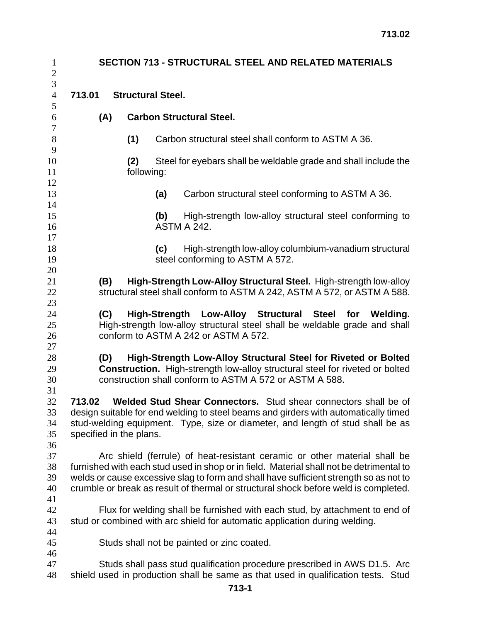| $\mathbf{1}$<br>$\sqrt{2}$       | <b>SECTION 713 - STRUCTURAL STEEL AND RELATED MATERIALS</b> |     |                                 |     |                                                                                                                                                                                                                                                                                                                                                      |  |  |  |
|----------------------------------|-------------------------------------------------------------|-----|---------------------------------|-----|------------------------------------------------------------------------------------------------------------------------------------------------------------------------------------------------------------------------------------------------------------------------------------------------------------------------------------------------------|--|--|--|
| 3<br>$\overline{4}$              | 713.01                                                      |     | <b>Structural Steel.</b>        |     |                                                                                                                                                                                                                                                                                                                                                      |  |  |  |
| 5<br>6                           | (A)                                                         |     | <b>Carbon Structural Steel.</b> |     |                                                                                                                                                                                                                                                                                                                                                      |  |  |  |
| $\boldsymbol{7}$<br>$8\,$        |                                                             |     | (1)                             |     | Carbon structural steel shall conform to ASTM A 36.                                                                                                                                                                                                                                                                                                  |  |  |  |
| 9<br>$10\,$<br>11                |                                                             |     | (2)<br>following:               |     | Steel for eyebars shall be weldable grade and shall include the                                                                                                                                                                                                                                                                                      |  |  |  |
| 12<br>13<br>14                   |                                                             |     |                                 | (a) | Carbon structural steel conforming to ASTM A 36.                                                                                                                                                                                                                                                                                                     |  |  |  |
| 15<br>16<br>17                   |                                                             |     |                                 | (b) | High-strength low-alloy structural steel conforming to<br><b>ASTM A 242.</b>                                                                                                                                                                                                                                                                         |  |  |  |
| 18<br>19<br>20                   |                                                             |     |                                 | (c) | High-strength low-alloy columbium-vanadium structural<br>steel conforming to ASTM A 572.                                                                                                                                                                                                                                                             |  |  |  |
| 21<br>22<br>23                   |                                                             | (B) |                                 |     | High-Strength Low-Alloy Structural Steel. High-strength low-alloy<br>structural steel shall conform to ASTM A 242, ASTM A 572, or ASTM A 588.                                                                                                                                                                                                        |  |  |  |
| 24<br>25<br>26                   |                                                             | (C) |                                 |     | High-Strength Low-Alloy Structural Steel<br>for<br>Welding.<br>High-strength low-alloy structural steel shall be weldable grade and shall<br>conform to ASTM A 242 or ASTM A 572.                                                                                                                                                                    |  |  |  |
| 27<br>28<br>29<br>30             |                                                             | (D) |                                 |     | High-Strength Low-Alloy Structural Steel for Riveted or Bolted<br>Construction. High-strength low-alloy structural steel for riveted or bolted<br>construction shall conform to ASTM A 572 or ASTM A 588.                                                                                                                                            |  |  |  |
| 31<br>32<br>33<br>34<br>35       | 713.02<br>specified in the plans.                           |     |                                 |     | Welded Stud Shear Connectors. Stud shear connectors shall be of<br>design suitable for end welding to steel beams and girders with automatically timed<br>stud-welding equipment. Type, size or diameter, and length of stud shall be as                                                                                                             |  |  |  |
| 36<br>37<br>38<br>39<br>40<br>41 |                                                             |     |                                 |     | Arc shield (ferrule) of heat-resistant ceramic or other material shall be<br>furnished with each stud used in shop or in field. Material shall not be detrimental to<br>welds or cause excessive slag to form and shall have sufficient strength so as not to<br>crumble or break as result of thermal or structural shock before weld is completed. |  |  |  |
| 42<br>43<br>44                   |                                                             |     |                                 |     | Flux for welding shall be furnished with each stud, by attachment to end of<br>stud or combined with arc shield for automatic application during welding.                                                                                                                                                                                            |  |  |  |
| 45<br>46                         |                                                             |     |                                 |     | Studs shall not be painted or zinc coated.                                                                                                                                                                                                                                                                                                           |  |  |  |
| 47<br>$48\,$                     |                                                             |     |                                 |     | Studs shall pass stud qualification procedure prescribed in AWS D1.5. Arc<br>shield used in production shall be same as that used in qualification tests. Stud                                                                                                                                                                                       |  |  |  |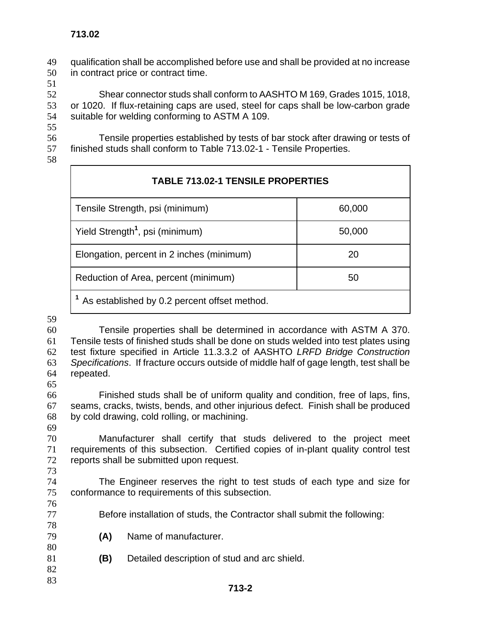qualification shall be accomplished before use and shall be provided at no increase in contract price or contract time.

Shear connector studs shall conform to AASHTO M 169, Grades 1015, 1018, or 1020. If flux-retaining caps are used, steel for caps shall be low-carbon grade suitable for welding conforming to ASTM A 109.

Tensile properties established by tests of bar stock after drawing or tests of finished studs shall conform to Table 713.02-1 - Tensile Properties.

| <b>TABLE 713.02-1 TENSILE PROPERTIES</b>                  |        |  |  |  |
|-----------------------------------------------------------|--------|--|--|--|
| Tensile Strength, psi (minimum)                           | 60,000 |  |  |  |
| Yield Strength <sup>1</sup> , psi (minimum)               | 50,000 |  |  |  |
| Elongation, percent in 2 inches (minimum)                 | 20     |  |  |  |
| Reduction of Area, percent (minimum)                      | 50     |  |  |  |
| <sup>1</sup> As established by 0.2 percent offset method. |        |  |  |  |

Tensile properties shall be determined in accordance with ASTM A 370. Tensile tests of finished studs shall be done on studs welded into test plates using test fixture specified in Article 11.3.3.2 of AASHTO *LRFD Bridge Construction Specifications*. If fracture occurs outside of middle half of gage length, test shall be repeated.

Finished studs shall be of uniform quality and condition, free of laps, fins, seams, cracks, twists, bends, and other injurious defect. Finish shall be produced by cold drawing, cold rolling, or machining.

Manufacturer shall certify that studs delivered to the project meet requirements of this subsection. Certified copies of in-plant quality control test reports shall be submitted upon request. 

- The Engineer reserves the right to test studs of each type and size for conformance to requirements of this subsection.
- Before installation of studs, the Contractor shall submit the following:
- **(A)** Name of manufacturer.
- **(B)** Detailed description of stud and arc shield.
-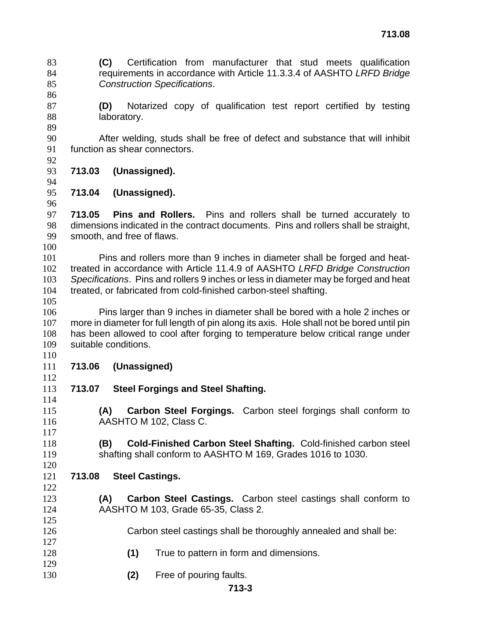**(C)** Certification from manufacturer that stud meets qualification requirements in accordance with Article 11.3.3.4 of AASHTO *LRFD Bridge Construction Specifications*.

- **(D)** Notarized copy of qualification test report certified by testing 88 laboratory.
- After welding, studs shall be free of defect and substance that will inhibit function as shear connectors.
- 

**713.03 (Unassigned).**

**713.04 (Unassigned).**

**713.05 Pins and Rollers.** Pins and rollers shall be turned accurately to dimensions indicated in the contract documents. Pins and rollers shall be straight, smooth, and free of flaws.

Pins and rollers more than 9 inches in diameter shall be forged and heat-treated in accordance with Article 11.4.9 of AASHTO *LRFD Bridge Construction Specifications*. Pins and rollers 9 inches or less in diameter may be forged and heat treated, or fabricated from cold-finished carbon-steel shafting.

Pins larger than 9 inches in diameter shall be bored with a hole 2 inches or more in diameter for full length of pin along its axis. Hole shall not be bored until pin has been allowed to cool after forging to temperature below critical range under suitable conditions.

- **713.06 (Unassigned)**
- **713.07 Steel Forgings and Steel Shafting.**
- **(A) Carbon Steel Forgings.** Carbon steel forgings shall conform to AASHTO M 102, Class C.
- **(B) Cold-Finished Carbon Steel Shafting.** Cold-finished carbon steel shafting shall conform to AASHTO M 169, Grades 1016 to 1030.
- **713.08 Steel Castings.**
- **(A) Carbon Steel Castings.** Carbon steel castings shall conform to AASHTO M 103, Grade 65-35, Class 2.
- Carbon steel castings shall be thoroughly annealed and shall be:
- **(1)** True to pattern in form and dimensions.
- **(2)** Free of pouring faults.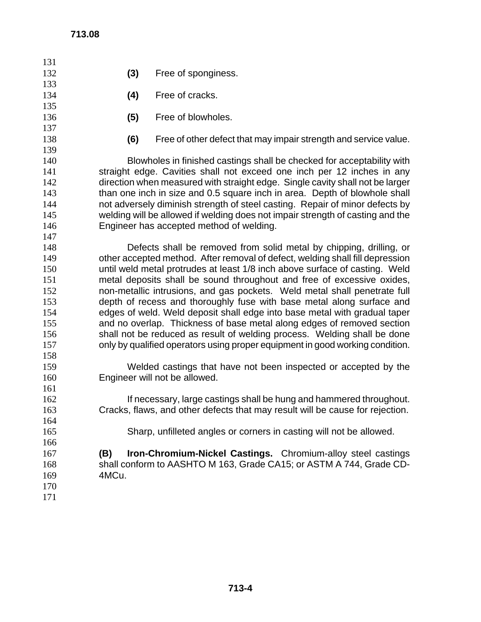| 131        |                                                                               |                                                                                |  |  |  |  |
|------------|-------------------------------------------------------------------------------|--------------------------------------------------------------------------------|--|--|--|--|
| 132        | (3)                                                                           | Free of sponginess.                                                            |  |  |  |  |
| 133        |                                                                               |                                                                                |  |  |  |  |
| 134        | (4)                                                                           | Free of cracks.                                                                |  |  |  |  |
| 135        |                                                                               |                                                                                |  |  |  |  |
| 136        | (5)                                                                           | Free of blowholes.                                                             |  |  |  |  |
| 137        |                                                                               |                                                                                |  |  |  |  |
| 138        | (6)                                                                           | Free of other defect that may impair strength and service value.               |  |  |  |  |
| 139        |                                                                               |                                                                                |  |  |  |  |
| 140        |                                                                               | Blowholes in finished castings shall be checked for acceptability with         |  |  |  |  |
| 141        | straight edge. Cavities shall not exceed one inch per 12 inches in any        |                                                                                |  |  |  |  |
| 142        | direction when measured with straight edge. Single cavity shall not be larger |                                                                                |  |  |  |  |
| 143        |                                                                               | than one inch in size and 0.5 square inch in area. Depth of blowhole shall     |  |  |  |  |
| 144        |                                                                               | not adversely diminish strength of steel casting. Repair of minor defects by   |  |  |  |  |
| 145        |                                                                               | welding will be allowed if welding does not impair strength of casting and the |  |  |  |  |
| 146        |                                                                               | Engineer has accepted method of welding.                                       |  |  |  |  |
| 147        |                                                                               |                                                                                |  |  |  |  |
| 148        |                                                                               | Defects shall be removed from solid metal by chipping, drilling, or            |  |  |  |  |
| 149        | other accepted method. After removal of defect, welding shall fill depression |                                                                                |  |  |  |  |
| 150        | until weld metal protrudes at least 1/8 inch above surface of casting. Weld   |                                                                                |  |  |  |  |
| 151        | metal deposits shall be sound throughout and free of excessive oxides,        |                                                                                |  |  |  |  |
| 152        | non-metallic intrusions, and gas pockets. Weld metal shall penetrate full     |                                                                                |  |  |  |  |
| 153        | depth of recess and thoroughly fuse with base metal along surface and         |                                                                                |  |  |  |  |
| 154        |                                                                               | edges of weld. Weld deposit shall edge into base metal with gradual taper      |  |  |  |  |
| 155        |                                                                               | and no overlap. Thickness of base metal along edges of removed section         |  |  |  |  |
| 156        | shall not be reduced as result of welding process. Welding shall be done      |                                                                                |  |  |  |  |
| 157        |                                                                               | only by qualified operators using proper equipment in good working condition.  |  |  |  |  |
| 158        |                                                                               |                                                                                |  |  |  |  |
| 159        |                                                                               | Welded castings that have not been inspected or accepted by the                |  |  |  |  |
| 160        |                                                                               | Engineer will not be allowed.                                                  |  |  |  |  |
| 161<br>162 |                                                                               | If necessary, large castings shall be hung and hammered throughout.            |  |  |  |  |
| 163        |                                                                               | Cracks, flaws, and other defects that may result will be cause for rejection.  |  |  |  |  |
| 164        |                                                                               |                                                                                |  |  |  |  |
| 165        |                                                                               | Sharp, unfilleted angles or corners in casting will not be allowed.            |  |  |  |  |
| 166        |                                                                               |                                                                                |  |  |  |  |
| 167        | (B)                                                                           | Iron-Chromium-Nickel Castings. Chromium-alloy steel castings                   |  |  |  |  |
| 168        |                                                                               | shall conform to AASHTO M 163, Grade CA15; or ASTM A 744, Grade CD-            |  |  |  |  |
| 169        | 4MCu.                                                                         |                                                                                |  |  |  |  |
| 170        |                                                                               |                                                                                |  |  |  |  |
| 171        |                                                                               |                                                                                |  |  |  |  |
|            |                                                                               |                                                                                |  |  |  |  |